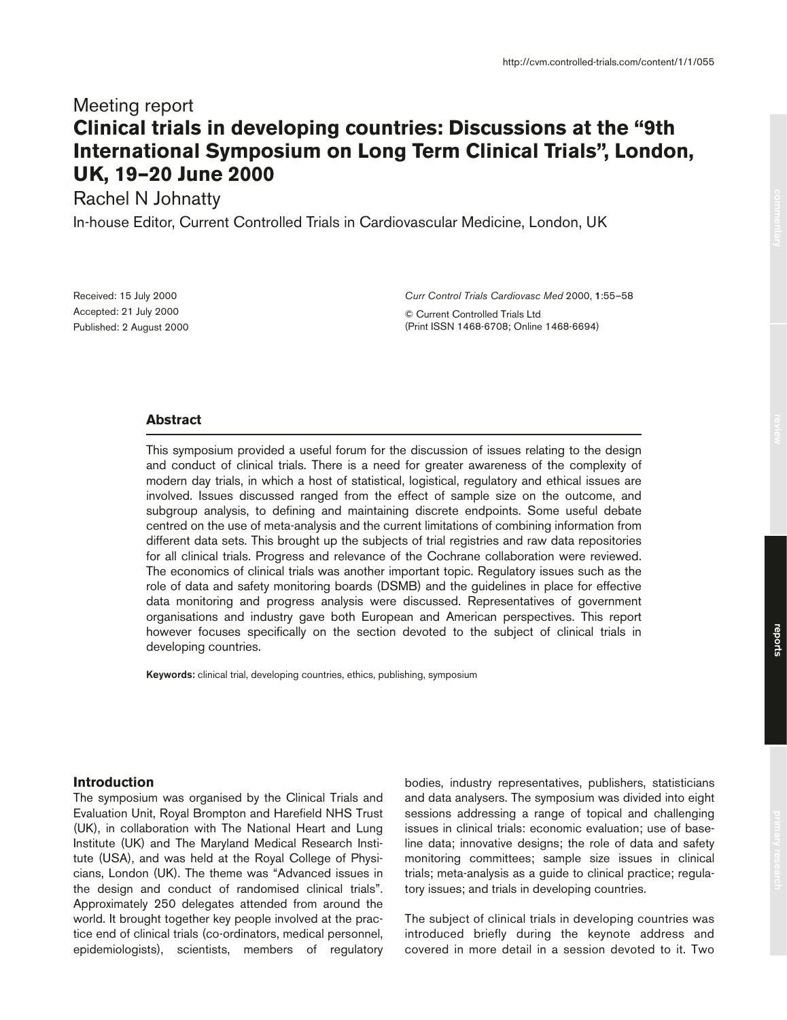# Meeting report **Clinical trials in developing countries: Discussions at the "9th International Symposium on Long Term Clinical Trials", London, UK, 19–20 June 2000**

Rachel N Johnatty

In-house Editor, Current Controlled Trials in Cardiovascular Medicine, London, UK

Received: 15 July 2000 Accepted: 21 July 2000 Published: 2 August 2000 *Curr Control Trials Cardiovasc Med* 2000, **1**:55–58

© Current Controlled Trials Ltd (Print ISSN 1468-6708; Online 1468-6694)

## **Abstract**

This symposium provided a useful forum for the discussion of issues relating to the design and conduct of clinical trials. There is a need for greater awareness of the complexity of modern day trials, in which a host of statistical, logistical, regulatory and ethical issues are involved. Issues discussed ranged from the effect of sample size on the outcome, and subgroup analysis, to defining and maintaining discrete endpoints. Some useful debate centred on the use of meta-analysis and the current limitations of combining information from different data sets. This brought up the subjects of trial registries and raw data repositories for all clinical trials. Progress and relevance of the Cochrane collaboration were reviewed. The economics of clinical trials was another important topic. Regulatory issues such as the role of data and safety monitoring boards (DSMB) and the guidelines in place for effective data monitoring and progress analysis were discussed. Representatives of government organisations and industry gave both European and American perspectives. This report however focuses specifically on the section devoted to the subject of clinical trials in developing countries.

**Keywords:** clinical trial, developing countries, ethics, publishing, symposium

# **Introduction**

The symposium was organised by the Clinical Trials and Evaluation Unit, Royal Brompton and Harefield NHS Trust (UK), in collaboration with The National Heart and Lung Institute (UK) and The Maryland Medical Research Institute (USA), and was held at the Royal College of Physicians, London (UK). The theme was "Advanced issues in the design and conduct of randomised clinical trials". Approximately 250 delegates attended from around the world. It brought together key people involved at the practice end of clinical trials (co-ordinators, medical personnel, epidemiologists), scientists, members of regulatory bodies, industry representatives, publishers, statisticians and data analysers. The symposium was divided into eight sessions addressing a range of topical and challenging issues in clinical trials: economic evaluation; use of baseline data; innovative designs; the role of data and safety monitoring committees; sample size issues in clinical trials; meta-analysis as a guide to clinical practice; regulatory issues; and trials in developing countries.

The subject of clinical trials in developing countries was introduced briefly during the keynote address and covered in more detail in a session devoted to it. Two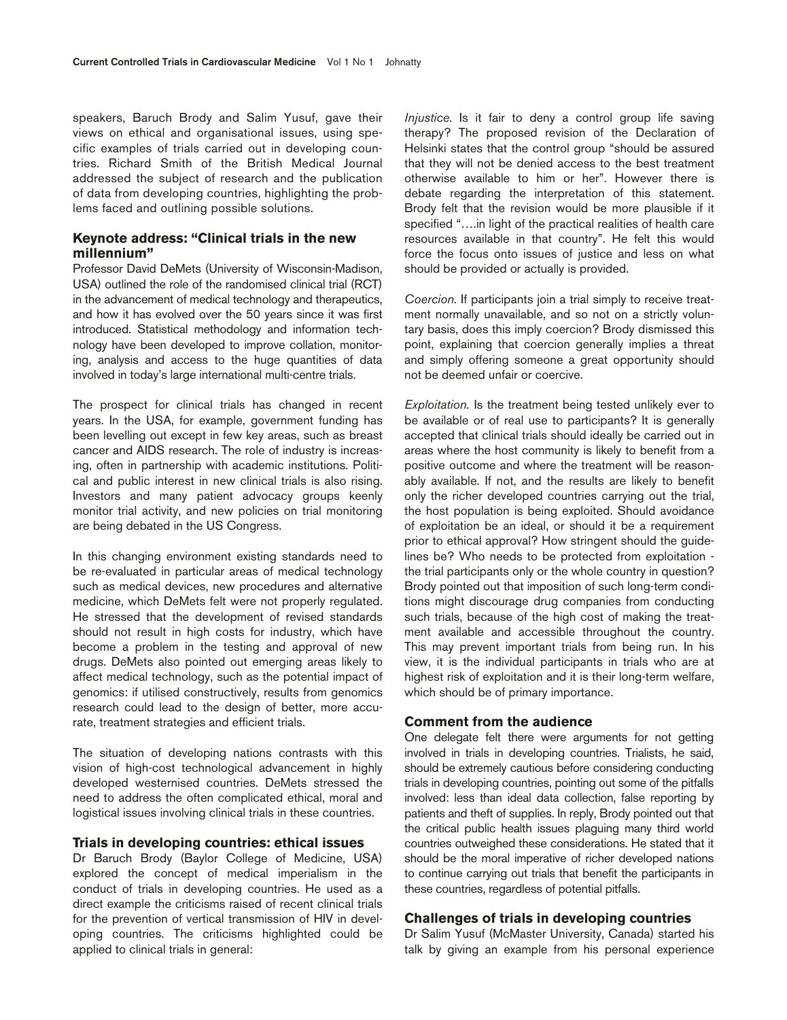speakers, Baruch Brody and Salim Yusuf, gave their views on ethical and organisational issues, using specific examples of trials carried out in developing countries. Richard Smith of the British Medical Journal addressed the subject of research and the publication of data from developing countries, highlighting the problems faced and outlining possible solutions.

# **Keynote address: "Clinical trials in the new millennium"**

Professor David DeMets (University of Wisconsin-Madison, USA) outlined the role of the randomised clinical trial (RCT) in the advancement of medical technology and therapeutics, and how it has evolved over the 50 years since it was first introduced. Statistical methodology and information technology have been developed to improve collation, monitoring, analysis and access to the huge quantities of data involved in today's large international multi-centre trials.

The prospect for clinical trials has changed in recent years. In the USA, for example, government funding has been levelling out except in few key areas, such as breast cancer and AIDS research. The role of industry is increasing, often in partnership with academic institutions. Political and public interest in new clinical trials is also rising. Investors and many patient advocacy groups keenly monitor trial activity, and new policies on trial monitoring are being debated in the US Congress.

In this changing environment existing standards need to be re-evaluated in particular areas of medical technology such as medical devices, new procedures and alternative medicine, which DeMets felt were not properly regulated. He stressed that the development of revised standards should not result in high costs for industry, which have become a problem in the testing and approval of new drugs. DeMets also pointed out emerging areas likely to affect medical technology, such as the potential impact of genomics: if utilised constructively, results from genomics research could lead to the design of better, more accurate, treatment strategies and efficient trials.

The situation of developing nations contrasts with this vision of high-cost technological advancement in highly developed westernised countries. DeMets stressed the need to address the often complicated ethical, moral and logistical issues involving clinical trials in these countries.

#### **Trials in developing countries: ethical issues**

Dr Baruch Brody (Baylor College of Medicine, USA) explored the concept of medical imperialism in the conduct of trials in developing countries. He used as a direct example the criticisms raised of recent clinical trials for the prevention of vertical transmission of HIV in developing countries. The criticisms highlighted could be applied to clinical trials in general:

*Injustice.* Is it fair to deny a control group life saving therapy? The proposed revision of the Declaration of Helsinki states that the control group "should be assured that they will not be denied access to the best treatment otherwise available to him or her". However there is debate regarding the interpretation of this statement. Brody felt that the revision would be more plausible if it specified "....in light of the practical realities of health care resources available in that country". He felt this would force the focus onto issues of justice and less on what should be provided or actually is provided.

*Coercion.* If participants join a trial simply to receive treatment normally unavailable, and so not on a strictly voluntary basis, does this imply coercion? Brody dismissed this point, explaining that coercion generally implies a threat and simply offering someone a great opportunity should not be deemed unfair or coercive.

*Exploitation.* Is the treatment being tested unlikely ever to be available or of real use to participants? It is generally accepted that clinical trials should ideally be carried out in areas where the host community is likely to benefit from a positive outcome and where the treatment will be reasonably available. If not, and the results are likely to benefit only the richer developed countries carrying out the trial, the host population is being exploited. Should avoidance of exploitation be an ideal, or should it be a requirement prior to ethical approval? How stringent should the guidelines be? Who needs to be protected from exploitation the trial participants only or the whole country in question? Brody pointed out that imposition of such long-term conditions might discourage drug companies from conducting such trials, because of the high cost of making the treatment available and accessible throughout the country. This may prevent important trials from being run. In his view, it is the individual participants in trials who are at highest risk of exploitation and it is their long-term welfare, which should be of primary importance.

## **Comment from the audience**

One delegate felt there were arguments for not getting involved in trials in developing countries. Trialists, he said, should be extremely cautious before considering conducting trials in developing countries, pointing out some of the pitfalls involved: less than ideal data collection, false reporting by patients and theft of supplies. In reply, Brody pointed out that the critical public health issues plaguing many third world countries outweighed these considerations. He stated that it should be the moral imperative of richer developed nations to continue carrying out trials that benefit the participants in these countries, regardless of potential pitfalls.

# **Challenges of trials in developing countries**

Dr Salim Yusuf (McMaster University, Canada) started his talk by giving an example from his personal experience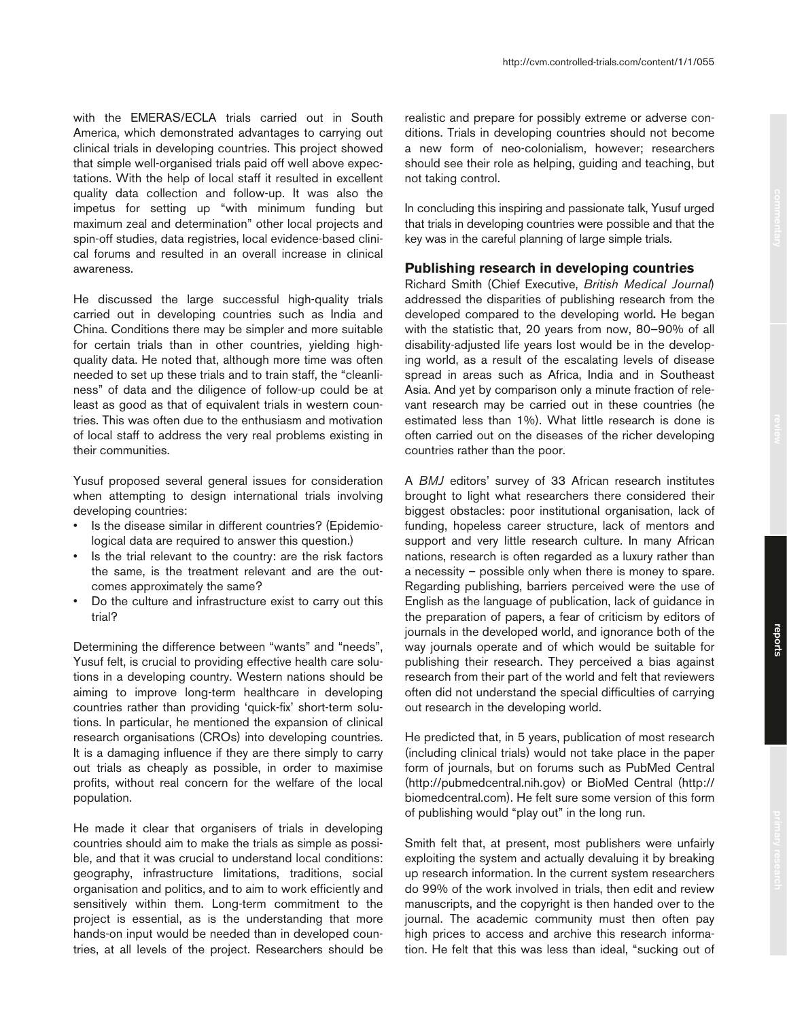with the EMERAS/ECLA trials carried out in South America, which demonstrated advantages to carrying out clinical trials in developing countries. This project showed that simple well-organised trials paid off well above expectations. With the help of local staff it resulted in excellent quality data collection and follow-up. It was also the impetus for setting up "with minimum funding but maximum zeal and determination" other local projects and spin-off studies, data registries, local evidence-based clinical forums and resulted in an overall increase in clinical awareness.

He discussed the large successful high-quality trials carried out in developing countries such as India and China. Conditions there may be simpler and more suitable for certain trials than in other countries, yielding highquality data. He noted that, although more time was often needed to set up these trials and to train staff, the "cleanliness" of data and the diligence of follow-up could be at least as good as that of equivalent trials in western countries. This was often due to the enthusiasm and motivation of local staff to address the very real problems existing in their communities.

Yusuf proposed several general issues for consideration when attempting to design international trials involving developing countries:

- Is the disease similar in different countries? (Epidemiological data are required to answer this question.)
- Is the trial relevant to the country: are the risk factors the same, is the treatment relevant and are the outcomes approximately the same?
- Do the culture and infrastructure exist to carry out this trial?

Determining the difference between "wants" and "needs", Yusuf felt, is crucial to providing effective health care solutions in a developing country. Western nations should be aiming to improve long-term healthcare in developing countries rather than providing 'quick-fix' short-term solutions. In particular, he mentioned the expansion of clinical research organisations (CROs) into developing countries. It is a damaging influence if they are there simply to carry out trials as cheaply as possible, in order to maximise profits, without real concern for the welfare of the local population.

He made it clear that organisers of trials in developing countries should aim to make the trials as simple as possible, and that it was crucial to understand local conditions: geography, infrastructure limitations, traditions, social organisation and politics, and to aim to work efficiently and sensitively within them. Long-term commitment to the project is essential, as is the understanding that more hands-on input would be needed than in developed countries, at all levels of the project. Researchers should be

realistic and prepare for possibly extreme or adverse conditions. Trials in developing countries should not become a new form of neo-colonialism, however; researchers should see their role as helping, guiding and teaching, but not taking control.

In concluding this inspiring and passionate talk, Yusuf urged that trials in developing countries were possible and that the key was in the careful planning of large simple trials.

## **Publishing research in developing countries**

Richard Smith (Chief Executive, *British Medical Journal*) addressed the disparities of publishing research from the developed compared to the developing world**.** He began with the statistic that, 20 years from now, 80–90% of all disability-adjusted life years lost would be in the developing world, as a result of the escalating levels of disease spread in areas such as Africa, India and in Southeast Asia. And yet by comparison only a minute fraction of relevant research may be carried out in these countries (he estimated less than 1%). What little research is done is often carried out on the diseases of the richer developing countries rather than the poor.

A *BMJ* editors' survey of 33 African research institutes brought to light what researchers there considered their biggest obstacles: poor institutional organisation, lack of funding, hopeless career structure, lack of mentors and support and very little research culture. In many African nations, research is often regarded as a luxury rather than a necessity – possible only when there is money to spare. Regarding publishing, barriers perceived were the use of English as the language of publication, lack of guidance in the preparation of papers, a fear of criticism by editors of journals in the developed world, and ignorance both of the way journals operate and of which would be suitable for publishing their research. They perceived a bias against research from their part of the world and felt that reviewers often did not understand the special difficulties of carrying out research in the developing world.

He predicted that, in 5 years, publication of most research (including clinical trials) would not take place in the paper form of journals, but on forums such as PubMed Central (http://pubmedcentral.nih.gov) or BioMed Central (http:// biomedcentral.com). He felt sure some version of this form of publishing would "play out" in the long run.

Smith felt that, at present, most publishers were unfairly exploiting the system and actually devaluing it by breaking up research information. In the current system researchers do 99% of the work involved in trials, then edit and review manuscripts, and the copyright is then handed over to the journal. The academic community must then often pay high prices to access and archive this research information. He felt that this was less than ideal, "sucking out of